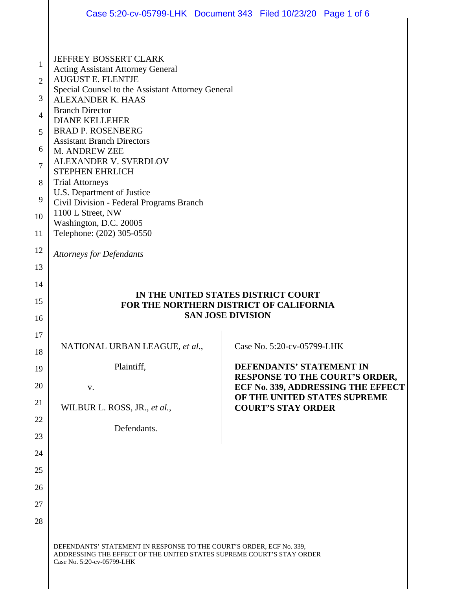|                                                                                      | Case 5:20-cv-05799-LHK  Document 343  Filed 10/23/20  Page 1 of 6                                                                                                                                                                                                                                                                                                                                                                                                                                                                                                                         |  |                                                            |                                                                    |  |
|--------------------------------------------------------------------------------------|-------------------------------------------------------------------------------------------------------------------------------------------------------------------------------------------------------------------------------------------------------------------------------------------------------------------------------------------------------------------------------------------------------------------------------------------------------------------------------------------------------------------------------------------------------------------------------------------|--|------------------------------------------------------------|--------------------------------------------------------------------|--|
| 1<br>$\overline{2}$<br>3<br>4<br>5<br>6<br>7<br>8<br>9<br>10<br>11<br>12<br>13<br>14 | JEFFREY BOSSERT CLARK<br><b>Acting Assistant Attorney General</b><br><b>AUGUST E. FLENTJE</b><br>Special Counsel to the Assistant Attorney General<br><b>ALEXANDER K. HAAS</b><br><b>Branch Director</b><br><b>DIANE KELLEHER</b><br><b>BRAD P. ROSENBERG</b><br><b>Assistant Branch Directors</b><br>M. ANDREW ZEE<br>ALEXANDER V. SVERDLOV<br><b>STEPHEN EHRLICH</b><br><b>Trial Attorneys</b><br>U.S. Department of Justice<br>Civil Division - Federal Programs Branch<br>1100 L Street, NW<br>Washington, D.C. 20005<br>Telephone: (202) 305-0550<br><b>Attorneys for Defendants</b> |  |                                                            |                                                                    |  |
| 15<br>16                                                                             | IN THE UNITED STATES DISTRICT COURT<br>FOR THE NORTHERN DISTRICT OF CALIFORNIA<br><b>SAN JOSE DIVISION</b>                                                                                                                                                                                                                                                                                                                                                                                                                                                                                |  |                                                            |                                                                    |  |
| 17                                                                                   |                                                                                                                                                                                                                                                                                                                                                                                                                                                                                                                                                                                           |  |                                                            |                                                                    |  |
| 18                                                                                   | NATIONAL URBAN LEAGUE, et al.,                                                                                                                                                                                                                                                                                                                                                                                                                                                                                                                                                            |  | Case No. 5:20-cv-05799-LHK                                 |                                                                    |  |
| 19                                                                                   | Plaintiff,                                                                                                                                                                                                                                                                                                                                                                                                                                                                                                                                                                                |  | DEFENDANTS' STATEMENT IN<br>RESPONSE TO THE COURT'S ORDER, |                                                                    |  |
| 20                                                                                   | V.                                                                                                                                                                                                                                                                                                                                                                                                                                                                                                                                                                                        |  |                                                            | ECF No. 339, ADDRESSING THE EFFECT<br>OF THE UNITED STATES SUPREME |  |
| 21                                                                                   | WILBUR L. ROSS, JR., et al.,                                                                                                                                                                                                                                                                                                                                                                                                                                                                                                                                                              |  | <b>COURT'S STAY ORDER</b>                                  |                                                                    |  |
| 22<br>23                                                                             | Defendants.                                                                                                                                                                                                                                                                                                                                                                                                                                                                                                                                                                               |  |                                                            |                                                                    |  |
| 24                                                                                   |                                                                                                                                                                                                                                                                                                                                                                                                                                                                                                                                                                                           |  |                                                            |                                                                    |  |
| 25                                                                                   |                                                                                                                                                                                                                                                                                                                                                                                                                                                                                                                                                                                           |  |                                                            |                                                                    |  |
| 26                                                                                   |                                                                                                                                                                                                                                                                                                                                                                                                                                                                                                                                                                                           |  |                                                            |                                                                    |  |
| 27                                                                                   |                                                                                                                                                                                                                                                                                                                                                                                                                                                                                                                                                                                           |  |                                                            |                                                                    |  |
| 28                                                                                   |                                                                                                                                                                                                                                                                                                                                                                                                                                                                                                                                                                                           |  |                                                            |                                                                    |  |
|                                                                                      | DEFENDANTS' STATEMENT IN RESPONSE TO THE COURT'S ORDER, ECF No. 339,<br>ADDRESSING THE EFFECT OF THE UNITED STATES SUPREME COURT'S STAY ORDER<br>Case No. 5:20-cv-05799-LHK                                                                                                                                                                                                                                                                                                                                                                                                               |  |                                                            |                                                                    |  |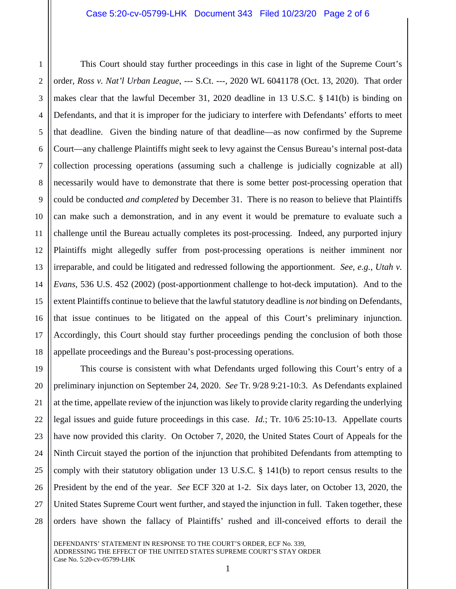1

This Court should stay further proceedings in this case in light of the Supreme Court's order, *Ross v. Nat'l Urban League*, --- S.Ct. ---, 2020 WL 6041178 (Oct. 13, 2020). That order makes clear that the lawful December 31, 2020 deadline in 13 U.S.C. § 141(b) is binding on Defendants, and that it is improper for the judiciary to interfere with Defendants' efforts to meet that deadline. Given the binding nature of that deadline—as now confirmed by the Supreme Court—any challenge Plaintiffs might seek to levy against the Census Bureau's internal post-data collection processing operations (assuming such a challenge is judicially cognizable at all) necessarily would have to demonstrate that there is some better post-processing operation that could be conducted *and completed* by December 31. There is no reason to believe that Plaintiffs can make such a demonstration, and in any event it would be premature to evaluate such a challenge until the Bureau actually completes its post-processing. Indeed, any purported injury Plaintiffs might allegedly suffer from post-processing operations is neither imminent nor irreparable, and could be litigated and redressed following the apportionment. *See*, *e.g.*, *Utah v. Evans*, 536 U.S. 452 (2002) (post-apportionment challenge to hot-deck imputation). And to the extent Plaintiffs continue to believe that the lawful statutory deadline is *not* binding on Defendants, that issue continues to be litigated on the appeal of this Court's preliminary injunction. Accordingly, this Court should stay further proceedings pending the conclusion of both those appellate proceedings and the Bureau's post-processing operations.

26 27 28 This course is consistent with what Defendants urged following this Court's entry of a preliminary injunction on September 24, 2020. *See* Tr. 9/28 9:21-10:3. As Defendants explained at the time, appellate review of the injunction was likely to provide clarity regarding the underlying legal issues and guide future proceedings in this case. *Id.*; Tr. 10/6 25:10-13. Appellate courts have now provided this clarity. On October 7, 2020, the United States Court of Appeals for the Ninth Circuit stayed the portion of the injunction that prohibited Defendants from attempting to comply with their statutory obligation under 13 U.S.C. § 141(b) to report census results to the President by the end of the year. *See* ECF 320 at 1-2. Six days later, on October 13, 2020, the United States Supreme Court went further, and stayed the injunction in full. Taken together, these orders have shown the fallacy of Plaintiffs' rushed and ill-conceived efforts to derail the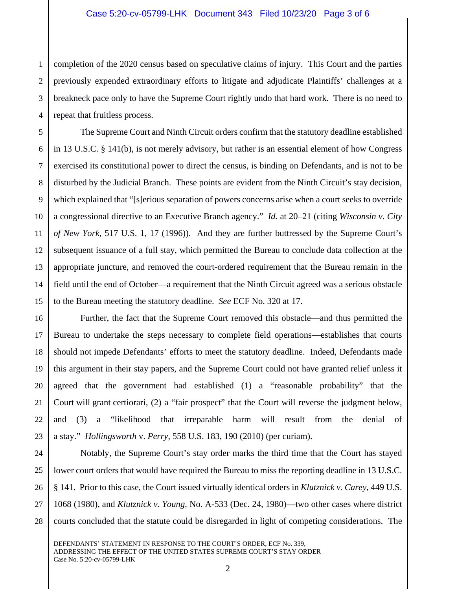1 2 3 4 completion of the 2020 census based on speculative claims of injury. This Court and the parties previously expended extraordinary efforts to litigate and adjudicate Plaintiffs' challenges at a breakneck pace only to have the Supreme Court rightly undo that hard work. There is no need to repeat that fruitless process.

5

6

7

8

9

10

11

13

14

15

16

17

18

19

20

21

22

23

12 The Supreme Court and Ninth Circuit orders confirm that the statutory deadline established in 13 U.S.C. § 141(b), is not merely advisory, but rather is an essential element of how Congress exercised its constitutional power to direct the census, is binding on Defendants, and is not to be disturbed by the Judicial Branch. These points are evident from the Ninth Circuit's stay decision, which explained that "[s]erious separation of powers concerns arise when a court seeks to override a congressional directive to an Executive Branch agency." *Id.* at 20–21 (citing *Wisconsin v. City of New York*, 517 U.S. 1, 17 (1996)). And they are further buttressed by the Supreme Court's subsequent issuance of a full stay, which permitted the Bureau to conclude data collection at the appropriate juncture, and removed the court-ordered requirement that the Bureau remain in the field until the end of October—a requirement that the Ninth Circuit agreed was a serious obstacle to the Bureau meeting the statutory deadline. *See* ECF No. 320 at 17.

Further, the fact that the Supreme Court removed this obstacle—and thus permitted the Bureau to undertake the steps necessary to complete field operations—establishes that courts should not impede Defendants' efforts to meet the statutory deadline. Indeed, Defendants made this argument in their stay papers, and the Supreme Court could not have granted relief unless it agreed that the government had established (1) a "reasonable probability" that the Court will grant certiorari, (2) a "fair prospect" that the Court will reverse the judgment below, and (3) a "likelihood that irreparable harm will result from the denial of a stay." *Hollingsworth* v. *Perry*, 558 U.S. 183, 190 (2010) (per curiam).

24 25 26 27 28 Notably, the Supreme Court's stay order marks the third time that the Court has stayed lower court orders that would have required the Bureau to miss the reporting deadline in 13 U.S.C. § 141. Prior to this case, the Court issued virtually identical orders in *Klutznick v. Carey*, 449 U.S. 1068 (1980), and *Klutznick v. Young*, No. A-533 (Dec. 24, 1980)—two other cases where district courts concluded that the statute could be disregarded in light of competing considerations. The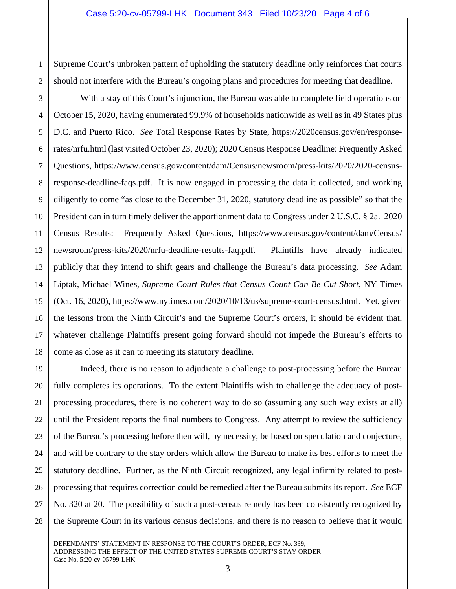2 Supreme Court's unbroken pattern of upholding the statutory deadline only reinforces that courts should not interfere with the Bureau's ongoing plans and procedures for meeting that deadline.

1

3 4 5 6 7 8 9 10 11 12 13 14 15 16 17 18 With a stay of this Court's injunction, the Bureau was able to complete field operations on October 15, 2020, having enumerated 99.9% of households nationwide as well as in 49 States plus D.C. and Puerto Rico. *See* Total Response Rates by State, https://2020census.gov/en/responserates/nrfu.html (last visited October 23, 2020); 2020 Census Response Deadline: Frequently Asked Questions, https://www.census.gov/content/dam/Census/newsroom/press-kits/2020/2020-censusresponse-deadline-faqs.pdf. It is now engaged in processing the data it collected, and working diligently to come "as close to the December 31, 2020, statutory deadline as possible" so that the President can in turn timely deliver the apportionment data to Congress under 2 U.S.C. § 2a. 2020 Census Results: Frequently Asked Questions, https://www.census.gov/content/dam/Census/ newsroom/press-kits/2020/nrfu-deadline-results-faq.pdf. Plaintiffs have already indicated publicly that they intend to shift gears and challenge the Bureau's data processing. *See* Adam Liptak, Michael Wines, *Supreme Court Rules that Census Count Can Be Cut Short*, NY Times (Oct. 16, 2020), https://www.nytimes.com/2020/10/13/us/supreme-court-census.html. Yet, given the lessons from the Ninth Circuit's and the Supreme Court's orders, it should be evident that, whatever challenge Plaintiffs present going forward should not impede the Bureau's efforts to come as close as it can to meeting its statutory deadline.

19 20 21 22 23 24 25 26 27 28 Indeed, there is no reason to adjudicate a challenge to post-processing before the Bureau fully completes its operations. To the extent Plaintiffs wish to challenge the adequacy of postprocessing procedures, there is no coherent way to do so (assuming any such way exists at all) until the President reports the final numbers to Congress. Any attempt to review the sufficiency of the Bureau's processing before then will, by necessity, be based on speculation and conjecture, and will be contrary to the stay orders which allow the Bureau to make its best efforts to meet the statutory deadline. Further, as the Ninth Circuit recognized, any legal infirmity related to postprocessing that requires correction could be remedied after the Bureau submits its report. *See* ECF No. 320 at 20. The possibility of such a post-census remedy has been consistently recognized by the Supreme Court in its various census decisions, and there is no reason to believe that it would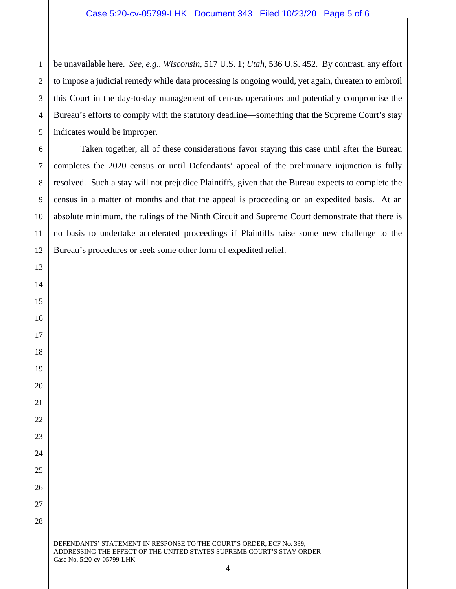## Case 5:20-cv-05799-LHK Document 343 Filed 10/23/20 Page 5 of 6

 be unavailable here. *See, e.g.*, *Wisconsin*, 517 U.S. 1; *Utah*, 536 U.S. 452. By contrast, any effort to impose a judicial remedy while data processing is ongoing would, yet again, threaten to embroil this Court in the day-to-day management of census operations and potentially compromise the Bureau's efforts to comply with the statutory deadline—something that the Supreme Court's stay indicates would be improper.

Taken together, all of these considerations favor staying this case until after the Bureau completes the 2020 census or until Defendants' appeal of the preliminary injunction is fully resolved. Such a stay will not prejudice Plaintiffs, given that the Bureau expects to complete the census in a matter of months and that the appeal is proceeding on an expedited basis. At an absolute minimum, the rulings of the Ninth Circuit and Supreme Court demonstrate that there is no basis to undertake accelerated proceedings if Plaintiffs raise some new challenge to the Bureau's procedures or seek some other form of expedited relief.

DEFENDANTS' STATEMENT IN RESPONSE TO THE COURT'S ORDER, ECF No. 339, ADDRESSING THE EFFECT OF THE UNITED STATES SUPREME COURT'S STAY ORDER Case No. 5:20-cv-05799-LHK